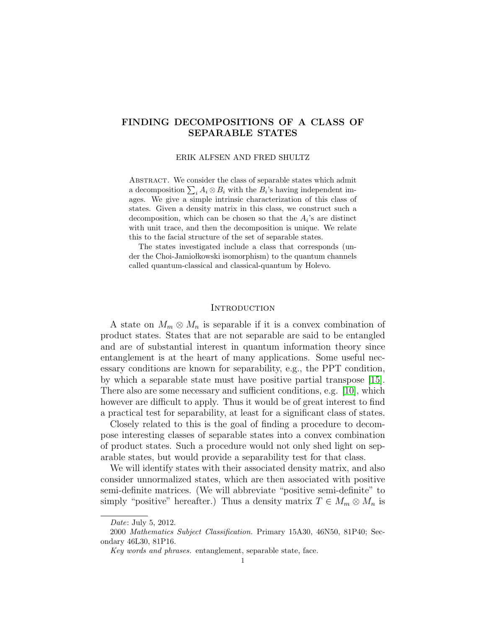# FINDING DECOMPOSITIONS OF A CLASS OF SEPARABLE STATES

ERIK ALFSEN AND FRED SHULTZ

Abstract. We consider the class of separable states which admit a decomposition  $\sum_i A_i \otimes B_i$  with the  $B_i$ 's having independent images. We give a simple intrinsic characterization of this class of states. Given a density matrix in this class, we construct such a decomposition, which can be chosen so that the  $A_i$ 's are distinct with unit trace, and then the decomposition is unique. We relate this to the facial structure of the set of separable states.

The states investigated include a class that corresponds (under the Choi-Jamiołkowski isomorphism) to the quantum channels called quantum-classical and classical-quantum by Holevo.

# **INTRODUCTION**

A state on  $M_m \otimes M_n$  is separable if it is a convex combination of product states. States that are not separable are said to be entangled and are of substantial interest in quantum information theory since entanglement is at the heart of many applications. Some useful necessary conditions are known for separability, e.g., the PPT condition, by which a separable state must have positive partial transpose [\[15\]](#page-22-0). There also are some necessary and sufficient conditions, e.g. [\[10\]](#page-22-1), which however are difficult to apply. Thus it would be of great interest to find a practical test for separability, at least for a significant class of states.

Closely related to this is the goal of finding a procedure to decompose interesting classes of separable states into a convex combination of product states. Such a procedure would not only shed light on separable states, but would provide a separability test for that class.

We will identify states with their associated density matrix, and also consider unnormalized states, which are then associated with positive semi-definite matrices. (We will abbreviate "positive semi-definite" to simply "positive" hereafter.) Thus a density matrix  $T \in M_m \otimes M_n$  is

Date: July 5, 2012.

<sup>2000</sup> Mathematics Subject Classification. Primary 15A30, 46N50, 81P40; Secondary 46L30, 81P16.

Key words and phrases. entanglement, separable state, face.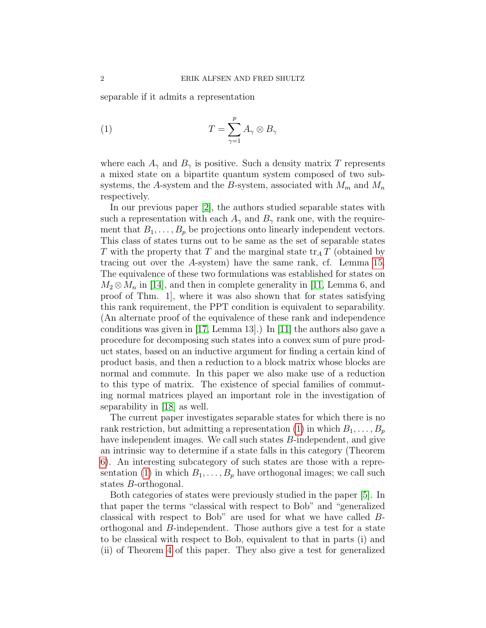separable if it admits a representation

<span id="page-1-0"></span>(1) 
$$
T = \sum_{\gamma=1}^{p} A_{\gamma} \otimes B_{\gamma}
$$

where each  $A_{\gamma}$  and  $B_{\gamma}$  is positive. Such a density matrix T represents a mixed state on a bipartite quantum system composed of two subsystems, the A-system and the B-system, associated with  $M_m$  and  $M_n$ respectively.

In our previous paper [\[2\]](#page-22-2), the authors studied separable states with such a representation with each  $A_{\gamma}$  and  $B_{\gamma}$  rank one, with the requirement that  $B_1, \ldots, B_p$  be projections onto linearly independent vectors. This class of states turns out to be same as the set of separable states T with the property that T and the marginal state  $\text{tr}_{A} T$  (obtained by tracing out over the A-system) have the same rank, cf. Lemma [15.](#page-20-0) The equivalence of these two formulations was established for states on  $M_2 \otimes M_n$  in [\[14\]](#page-22-3), and then in complete generality in [\[11,](#page-22-4) Lemma 6, and proof of Thm. 1], where it was also shown that for states satisfying this rank requirement, the PPT condition is equivalent to separability. (An alternate proof of the equivalence of these rank and independence conditions was given in [\[17,](#page-22-5) Lemma 13].) In [\[11\]](#page-22-4) the authors also gave a procedure for decomposing such states into a convex sum of pure product states, based on an inductive argument for finding a certain kind of product basis, and then a reduction to a block matrix whose blocks are normal and commute. In this paper we also make use of a reduction to this type of matrix. The existence of special families of commuting normal matrices played an important role in the investigation of separability in [\[18\]](#page-22-6) as well.

The current paper investigates separable states for which there is no rank restriction, but admitting a representation [\(1\)](#page-1-0) in which  $B_1, \ldots, B_p$ have independent images. We call such states B-independent, and give an intrinsic way to determine if a state falls in this category (Theorem [6\)](#page-9-0). An interesting subcategory of such states are those with a repre-sentation [\(1\)](#page-1-0) in which  $B_1, \ldots, B_p$  have orthogonal images; we call such states B-orthogonal.

Both categories of states were previously studied in the paper [\[5\]](#page-22-7). In that paper the terms "classical with respect to Bob" and "generalized classical with respect to Bob" are used for what we have called Borthogonal and B-independent. Those authors give a test for a state to be classical with respect to Bob, equivalent to that in parts (i) and (ii) of Theorem [4](#page-7-0) of this paper. They also give a test for generalized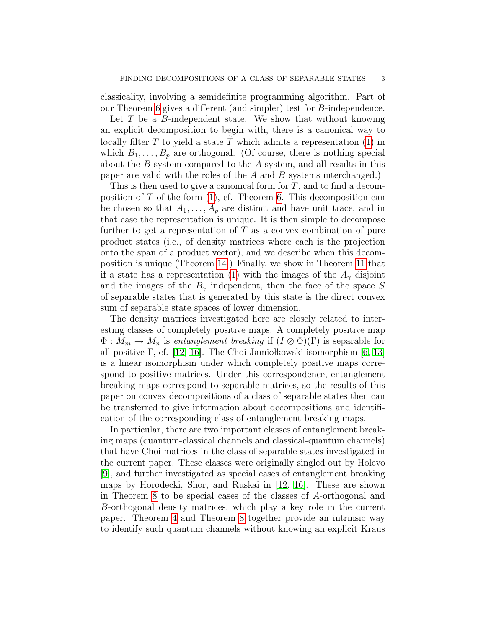classicality, involving a semidefinite programming algorithm. Part of our Theorem [6](#page-9-0) gives a different (and simpler) test for B-independence.

Let  $T$  be a  $B$ -independent state. We show that without knowing an explicit decomposition to begin with, there is a canonical way to locally filter  $T$  to yield a state  $T$  which admits a representation [\(1\)](#page-1-0) in which  $B_1, \ldots, B_p$  are orthogonal. (Of course, there is nothing special about the B-system compared to the A-system, and all results in this paper are valid with the roles of the  $A$  and  $B$  systems interchanged.)

This is then used to give a canonical form for  $T$ , and to find a decomposition of  $T$  of the form  $(1)$ , cf. Theorem [6.](#page-9-0) This decomposition can be chosen so that  $A_1, \ldots, A_p$  are distinct and have unit trace, and in that case the representation is unique. It is then simple to decompose further to get a representation of  $T$  as a convex combination of pure product states (i.e., of density matrices where each is the projection onto the span of a product vector), and we describe when this decomposition is unique (Theorem [14.](#page-19-0)) Finally, we show in Theorem [11](#page-16-0) that if a state has a representation [\(1\)](#page-1-0) with the images of the  $A_{\gamma}$  disjoint and the images of the  $B_{\gamma}$  independent, then the face of the space S of separable states that is generated by this state is the direct convex sum of separable state spaces of lower dimension.

The density matrices investigated here are closely related to interesting classes of completely positive maps. A completely positive map  $\Phi: M_m \to M_n$  is entanglement breaking if  $(I \otimes \Phi)(\Gamma)$  is separable for all positive Γ, cf. [\[12,](#page-22-8) [16\]](#page-22-9). The Choi-Jamiołkowski isomorphism [\[6,](#page-22-10) [13\]](#page-22-11) is a linear isomorphism under which completely positive maps correspond to positive matrices. Under this correspondence, entanglement breaking maps correspond to separable matrices, so the results of this paper on convex decompositions of a class of separable states then can be transferred to give information about decompositions and identification of the corresponding class of entanglement breaking maps.

In particular, there are two important classes of entanglement breaking maps (quantum-classical channels and classical-quantum channels) that have Choi matrices in the class of separable states investigated in the current paper. These classes were originally singled out by Holevo [\[9\]](#page-22-12), and further investigated as special cases of entanglement breaking maps by Horodecki, Shor, and Ruskai in [\[12,](#page-22-8) [16\]](#page-22-9). These are shown in Theorem [8](#page-12-0) to be special cases of the classes of A-orthogonal and B-orthogonal density matrices, which play a key role in the current paper. Theorem [4](#page-7-0) and Theorem [8](#page-12-0) together provide an intrinsic way to identify such quantum channels without knowing an explicit Kraus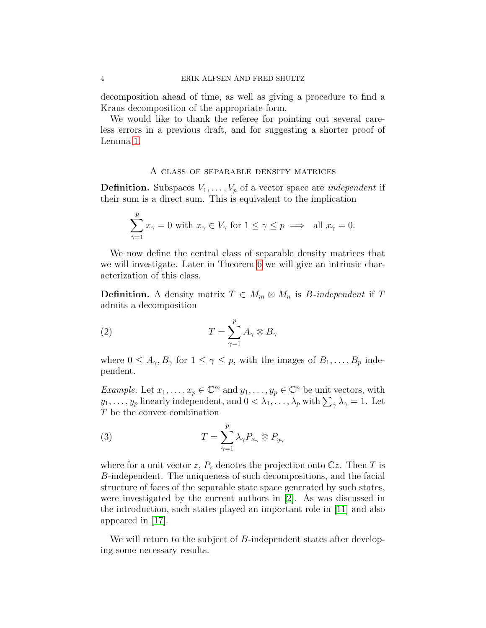decomposition ahead of time, as well as giving a procedure to find a Kraus decomposition of the appropriate form.

We would like to thank the referee for pointing out several careless errors in a previous draft, and for suggesting a shorter proof of Lemma [1.](#page-5-0)

#### A class of separable density matrices

**Definition.** Subspaces  $V_1, \ldots, V_p$  of a vector space are *independent* if their sum is a direct sum. This is equivalent to the implication

$$
\sum_{\gamma=1}^p x_{\gamma}=0 \text{ with } x_{\gamma} \in V_{\gamma} \text{ for } 1 \leq \gamma \leq p \implies \text{ all } x_{\gamma}=0.
$$

We now define the central class of separable density matrices that we will investigate. Later in Theorem [6](#page-9-0) we will give an intrinsic characterization of this class.

**Definition.** A density matrix  $T \in M_m \otimes M_n$  is *B*-independent if T admits a decomposition

(2) 
$$
T = \sum_{\gamma=1}^{p} A_{\gamma} \otimes B_{\gamma}
$$

where  $0 \leq A_{\gamma}, B_{\gamma}$  for  $1 \leq \gamma \leq p$ , with the images of  $B_1, \ldots, B_p$  independent.

*Example.* Let  $x_1, \ldots, x_p \in \mathbb{C}^m$  and  $y_1, \ldots, y_p \in \mathbb{C}^n$  be unit vectors, with  $y_1, \ldots, y_p$  linearly independent, and  $0 < \lambda_1, \ldots, \lambda_p$  with  $\sum_{\gamma} \lambda_{\gamma} = 1$ . Let T be the convex combination

(3) 
$$
T = \sum_{\gamma=1}^{p} \lambda_{\gamma} P_{x_{\gamma}} \otimes P_{y_{\gamma}}
$$

where for a unit vector z,  $P_z$  denotes the projection onto  $\mathbb{C}z$ . Then T is B-independent. The uniqueness of such decompositions, and the facial structure of faces of the separable state space generated by such states, were investigated by the current authors in [\[2\]](#page-22-2). As was discussed in the introduction, such states played an important role in [\[11\]](#page-22-4) and also appeared in [\[17\]](#page-22-5).

We will return to the subject of B-independent states after developing some necessary results.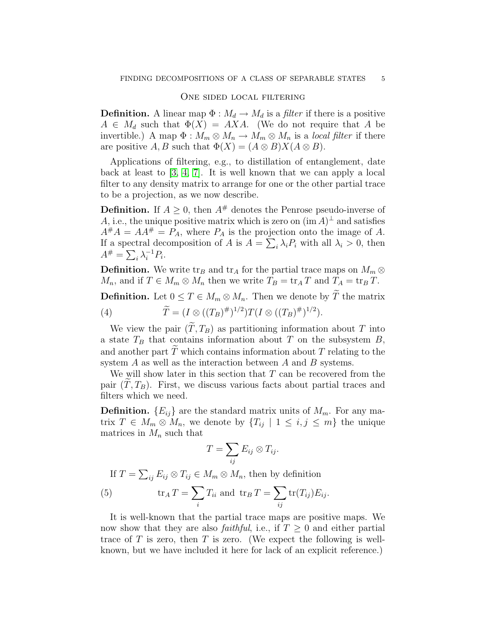# One sided local filtering

**Definition.** A linear map  $\Phi : M_d \to M_d$  is a filter if there is a positive  $A \in M_d$  such that  $\Phi(X) = AXA$ . (We do not require that A be invertible.) A map  $\Phi : M_m \otimes M_n \to M_m \otimes M_n$  is a *local filter* if there are positive A, B such that  $\Phi(X) = (A \otimes B)X(A \otimes B)$ .

Applications of filtering, e.g., to distillation of entanglement, date back at least to [\[3,](#page-22-13) [4,](#page-22-14) [7\]](#page-22-15). It is well known that we can apply a local filter to any density matrix to arrange for one or the other partial trace to be a projection, as we now describe.

**Definition.** If  $A > 0$ , then  $A^{\#}$  denotes the Penrose pseudo-inverse of A, i.e., the unique positive matrix which is zero on  $(\text{im } A)^{\perp}$  and satisfies  $A^{\#}A = AA^{\#} = P_A$ , where  $P_A$  is the projection onto the image of A. If a spectral decomposition of A is  $A = \sum_i \lambda_i P_i$  with all  $\lambda_i > 0$ , then  $A^{\#} = \sum_i \lambda_i^{-1} P_i.$ 

**Definition.** We write tr<sub>B</sub> and tr<sub>A</sub> for the partial trace maps on  $M_m \otimes$  $M_n$ , and if  $T \in M_m \otimes M_n$  then we write  $T_B = \text{tr}_A T$  and  $T_A = \text{tr}_B T$ .

**Definition.** Let  $0 \leq T \in M_m \otimes M_n$ . Then we denote by  $\widetilde{T}$  the matrix

<span id="page-4-1"></span>(4) 
$$
\widetilde{T} = (I \otimes ((T_B)^{\#})^{1/2}) T (I \otimes ((T_B)^{\#})^{1/2}).
$$

We view the pair  $(\widetilde{T}, T_B)$  as partitioning information about T into a state  $T_B$  that contains information about T on the subsystem B, and another part  $\tilde{T}$  which contains information about T relating to the system A as well as the interaction between A and B systems.

We will show later in this section that  $T$  can be recovered from the pair  $(T, T_B)$ . First, we discuss various facts about partial traces and filters which we need.

**Definition.**  $\{E_{ij}\}\$ are the standard matrix units of  $M_m$ . For any matrix  $T \in M_m \otimes M_n$ , we denote by  $\{T_{ij} \mid 1 \leq i, j \leq m\}$  the unique matrices in  $M_n$  such that

$$
T=\sum_{ij}E_{ij}\otimes T_{ij}.
$$

<span id="page-4-0"></span>If  $T = \sum_{ij} E_{ij} \otimes T_{ij} \in M_m \otimes M_n$ , then by definition

(5) 
$$
\operatorname{tr}_A T = \sum_i T_{ii} \text{ and } \operatorname{tr}_B T = \sum_{ij} \operatorname{tr}(T_{ij}) E_{ij}.
$$

It is well-known that the partial trace maps are positive maps. We now show that they are also *faithful*, i.e., if  $T \geq 0$  and either partial trace of  $T$  is zero, then  $T$  is zero. (We expect the following is wellknown, but we have included it here for lack of an explicit reference.)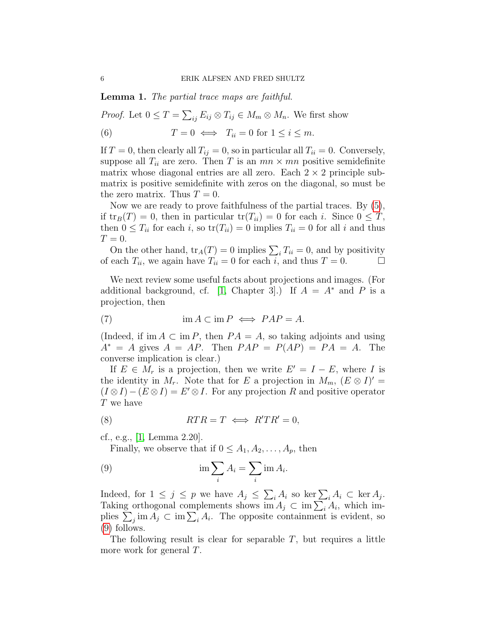<span id="page-5-0"></span>Lemma 1. The partial trace maps are faithful.

*Proof.* Let  $0 \leq T = \sum_{ij} E_{ij} \otimes T_{ij} \in M_m \otimes M_n$ . We first show

(6)  $T = 0 \iff T_{ii} = 0 \text{ for } 1 \leq i \leq m.$ 

If  $T = 0$ , then clearly all  $T_{ij} = 0$ , so in particular all  $T_{ii} = 0$ . Conversely, suppose all  $T_{ii}$  are zero. Then T is an  $mn \times mn$  positive semidefinite matrix whose diagonal entries are all zero. Each  $2 \times 2$  principle submatrix is positive semidefinite with zeros on the diagonal, so must be the zero matrix. Thus  $T = 0$ .

Now we are ready to prove faithfulness of the partial traces. By [\(5\)](#page-4-0), if  $\text{tr}_B(T) = 0$ , then in particular  $\text{tr}(T_{ii}) = 0$  for each i. Since  $0 \leq T$ , then  $0 \leq T_{ii}$  for each i, so  $tr(T_{ii}) = 0$  implies  $T_{ii} = 0$  for all i and thus  $T=0.$ 

On the other hand,  $tr_A(T) = 0$  implies  $\sum_i T_{ii} = 0$ , and by positivity of each  $T_{ii}$ , we again have  $T_{ii} = 0$  for each i, and thus  $T = 0$ .

We next review some useful facts about projections and images. (For additional background, cf. [\[1,](#page-21-0) Chapter 3].) If  $A = A^*$  and P is a projection, then

<span id="page-5-2"></span>(7) 
$$
\operatorname{im} A \subset \operatorname{im} P \iff PAP = A.
$$

(Indeed, if im  $A \subset \text{im } P$ , then  $PA = A$ , so taking adjoints and using  $A^* = A$  gives  $A = AP$ . Then  $PAP = P(AP) = PA = A$ . The converse implication is clear.)

If  $E \in M_r$  is a projection, then we write  $E' = I - E$ , where I is the identity in  $M_r$ . Note that for E a projection in  $M_m$ ,  $(E \otimes I)' =$  $(I \otimes I) - (E \otimes I) = E' \otimes I$ . For any projection R and positive operator T we have

$$
(8) \t\t RTR = T \iff R'TR' = 0,
$$

cf., e.g., [\[1,](#page-21-0) Lemma 2.20].

<span id="page-5-3"></span><span id="page-5-1"></span>Finally, we observe that if  $0 \leq A_1, A_2, \ldots, A_p$ , then

(9) 
$$
\lim \sum_{i} A_i = \sum_{i} \operatorname{im} A_i.
$$

Indeed, for  $1 \leq j \leq p$  we have  $A_j \leq \sum_i A_i$  so ker  $\sum_i A_i \subset \text{ker } A_j$ . Taking orthogonal complements shows im  $A_j \subset \text{im} \sum_i A_i$ , which implies  $\sum_j \text{im } A_j \subset \text{im } \sum_i A_i$ . The opposite containment is evident, so [\(9\)](#page-5-1) follows.

The following result is clear for separable  $T$ , but requires a little more work for general T.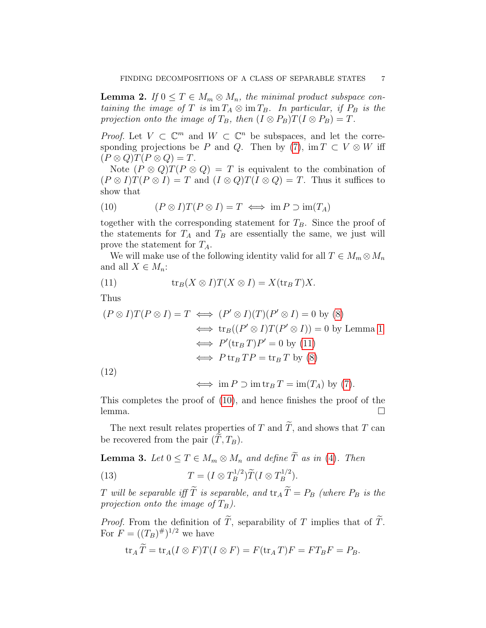<span id="page-6-3"></span>**Lemma 2.** If  $0 \leq T \in M_m \otimes M_n$ , the minimal product subspace containing the image of T is  $\operatorname{im} T_A \otimes \operatorname{im} T_B$ . In particular, if  $P_B$  is the projection onto the image of  $T_B$ , then  $(I \otimes P_B)T(I \otimes P_B) = T$ .

*Proof.* Let  $V \subset \mathbb{C}^m$  and  $W \subset \mathbb{C}^n$  be subspaces, and let the corre-sponding projections be P and Q. Then by [\(7\)](#page-5-2), im  $T \subset V \otimes W$  iff  $(P \otimes Q)T(P \otimes Q) = T.$ 

Note  $(P \otimes Q)T(P \otimes Q) = T$  is equivalent to the combination of  $(P \otimes I)T(P \otimes I) = T$  and  $(I \otimes Q)T(I \otimes Q) = T$ . Thus it suffices to show that

<span id="page-6-1"></span>(10) 
$$
(P \otimes I)T(P \otimes I) = T \iff \text{im } P \supset \text{im}(T_A)
$$

together with the corresponding statement for  $T_B$ . Since the proof of the statements for  $T_A$  and  $T_B$  are essentially the same, we just will prove the statement for  $T_A$ .

We will make use of the following identity valid for all  $T \in M_m \otimes M_n$ and all  $X \in M_n$ :

<span id="page-6-0"></span>(11) 
$$
\operatorname{tr}_B(X \otimes I)T(X \otimes I) = X(\operatorname{tr}_B T)X.
$$

Thus

$$
(P \otimes I)T(P \otimes I) = T \iff (P' \otimes I)(T)(P' \otimes I) = 0 \text{ by } (8)
$$

$$
\iff \text{tr}_B((P' \otimes I)T(P' \otimes I)) = 0 \text{ by Lemma 1}
$$

$$
\iff P'(\text{tr}_B T)P' = 0 \text{ by } (11)
$$

$$
\iff P \text{tr}_B TP = \text{tr}_B T \text{ by } (8)
$$

(12)

$$
\iff \mathrm{im}\, P \supset \mathrm{im}\, \mathrm{tr}_B\, T = \mathrm{im}(T_A) \, \mathrm{by} \, (7).
$$

This completes the proof of [\(10\)](#page-6-1), and hence finishes the proof of the lemma. □

The next result relates properties of T and  $\widetilde{T}$ , and shows that T can be recovered from the pair  $(T, T_B)$ .

<span id="page-6-4"></span>**Lemma 3.** Let  $0 \leq T \in M_m \otimes M_n$  and define  $\widetilde{T}$  as in [\(4\)](#page-4-1). Then

<span id="page-6-2"></span>(13) 
$$
T = (I \otimes T_B^{1/2}) \widetilde{T} (I \otimes T_B^{1/2}).
$$

T will be separable iff  $\widetilde{T}$  is separable, and  $\text{tr}_A \widetilde{T} = P_B$  (where  $P_B$  is the projection onto the image of  $T_B$ ).

*Proof.* From the definition of  $\widetilde{T}$ , separability of T implies that of  $\widetilde{T}$ . For  $F = ((T_B)^{\#})^{1/2}$  we have

$$
\operatorname{tr}_A \widetilde{T} = \operatorname{tr}_A (I \otimes F) T (I \otimes F) = F(\operatorname{tr}_A T) F = FT_B F = P_B.
$$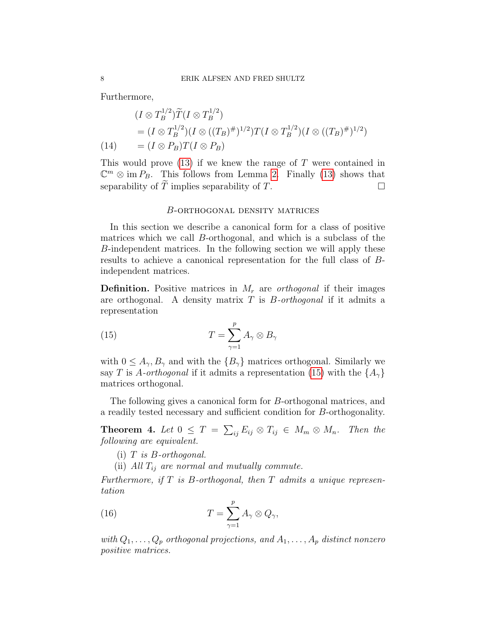Furthermore,

$$
(I \otimes T_B^{1/2})\widetilde{T}(I \otimes T_B^{1/2})
$$
  
=  $(I \otimes T_B^{1/2})(I \otimes ((T_B)^{\#})^{1/2})T(I \otimes T_B^{1/2})(I \otimes ((T_B)^{\#})^{1/2})$   
=  $(I \otimes P_B)T(I \otimes P_B)$ 

This would prove [\(13\)](#page-6-2) if we knew the range of T were contained in  $\mathbb{C}^m \otimes \text{im } P_B$ . This follows from Lemma [2.](#page-6-3) Finally [\(13\)](#page-6-2) shows that separability of  $\overline{T}$  implies separability of  $T$ .

#### B-orthogonal density matrices

In this section we describe a canonical form for a class of positive matrices which we call B-orthogonal, and which is a subclass of the B-independent matrices. In the following section we will apply these results to achieve a canonical representation for the full class of Bindependent matrices.

**Definition.** Positive matrices in  $M_r$  are *orthogonal* if their images are orthogonal. A density matrix  $T$  is  $B$ -orthogonal if it admits a representation

<span id="page-7-1"></span>(15) 
$$
T = \sum_{\gamma=1}^{p} A_{\gamma} \otimes B_{\gamma}
$$

with  $0 \leq A_{\gamma}, B_{\gamma}$  and with the  $\{B_{\gamma}\}\$  matrices orthogonal. Similarly we say T is A-orthogonal if it admits a representation [\(15\)](#page-7-1) with the  $\{A_{\gamma}\}\$ matrices orthogonal.

The following gives a canonical form for B-orthogonal matrices, and a readily tested necessary and sufficient condition for B-orthogonality.

<span id="page-7-0"></span>**Theorem 4.** Let  $0 \leq T = \sum_{ij} E_{ij} \otimes T_{ij} \in M_m \otimes M_n$ . Then the following are equivalent.

- $(i)$  T is B-orthogonal.
- <span id="page-7-2"></span>(ii) All  $T_{ij}$  are normal and mutually commute.

Furthermore, if  $T$  is B-orthogonal, then  $T$  admits a unique representation

(16) 
$$
T = \sum_{\gamma=1}^{p} A_{\gamma} \otimes Q_{\gamma},
$$

with  $Q_1, \ldots, Q_p$  orthogonal projections, and  $A_1, \ldots, A_p$  distinct nonzero positive matrices.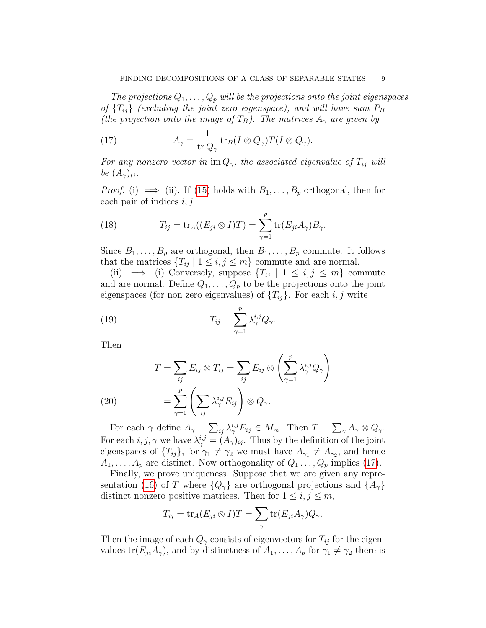The projections  $Q_1, \ldots, Q_p$  will be the projections onto the joint eigenspaces of  ${T_{ij}}$  (excluding the joint zero eigenspace), and will have sum  $P_B$ (the projection onto the image of  $T_B$ ). The matrices  $A_{\gamma}$  are given by

<span id="page-8-0"></span>(17) 
$$
A_{\gamma} = \frac{1}{\text{tr }Q_{\gamma}} \text{tr}_B(I \otimes Q_{\gamma}) T(I \otimes Q_{\gamma}).
$$

For any nonzero vector in im  $Q_{\gamma}$ , the associated eigenvalue of  $T_{ij}$  will be  $(A_{\gamma})_{ii}$ .

*Proof.* (i)  $\implies$  (ii). If [\(15\)](#page-7-1) holds with  $B_1, \ldots, B_p$  orthogonal, then for each pair of indices  $i, j$ 

(18) 
$$
T_{ij} = \text{tr}_A((E_{ji} \otimes I)T) = \sum_{\gamma=1}^p \text{tr}(E_{ji}A_\gamma)B_\gamma.
$$

Since  $B_1, \ldots, B_p$  are orthogonal, then  $B_1, \ldots, B_p$  commute. It follows that the matrices  ${T_{ij} | 1 \leq i, j \leq m}$  commute and are normal.

(ii)  $\implies$  (i) Conversely, suppose  $\{T_{ij} \mid 1 \leq i, j \leq m\}$  commute and are normal. Define  $Q_1, \ldots, Q_p$  to be the projections onto the joint eigenspaces (for non zero eigenvalues) of  $\{T_{ij}\}\$ . For each i, j write

(19) 
$$
T_{ij} = \sum_{\gamma=1}^{p} \lambda_{\gamma}^{i,j} Q_{\gamma}.
$$

Then

(20) 
$$
T = \sum_{ij} E_{ij} \otimes T_{ij} = \sum_{ij} E_{ij} \otimes \left( \sum_{\gamma=1}^p \lambda_{\gamma}^{i,j} Q_{\gamma} \right)
$$

$$
= \sum_{\gamma=1}^p \left( \sum_{ij} \lambda_{\gamma}^{i,j} E_{ij} \right) \otimes Q_{\gamma}.
$$

For each  $\gamma$  define  $A_{\gamma} = \sum_{ij} \lambda_{\gamma}^{i,j} E_{ij} \in M_m$ . Then  $T = \sum_{\gamma} A_{\gamma} \otimes Q_{\gamma}$ . For each  $i, j, \gamma$  we have  $\lambda^{i,j}_{\gamma} = (A_{\gamma})_{ij}$ . Thus by the definition of the joint eigenspaces of  ${T_{ij}}$ , for  $\gamma_1 \neq \gamma_2$  we must have  $A_{\gamma_1} \neq A_{\gamma_2}$ , and hence  $A_1, \ldots, A_p$  are distinct. Now orthogonality of  $Q_1 \ldots, Q_p$  implies [\(17\)](#page-8-0).

Finally, we prove uniqueness. Suppose that we are given any repre-sentation [\(16\)](#page-7-2) of T where  ${Q_{\gamma}}$  are orthogonal projections and  ${A_{\gamma}}$ distinct nonzero positive matrices. Then for  $1 \leq i, j \leq m$ ,

$$
T_{ij} = \text{tr}_A(E_{ji} \otimes I)T = \sum_{\gamma} \text{tr}(E_{ji}A_{\gamma})Q_{\gamma}.
$$

Then the image of each  $Q_{\gamma}$  consists of eigenvectors for  $T_{ij}$  for the eigenvalues  $tr(E_{ji}A_{\gamma})$ , and by distinctness of  $A_1, \ldots, A_p$  for  $\gamma_1 \neq \gamma_2$  there is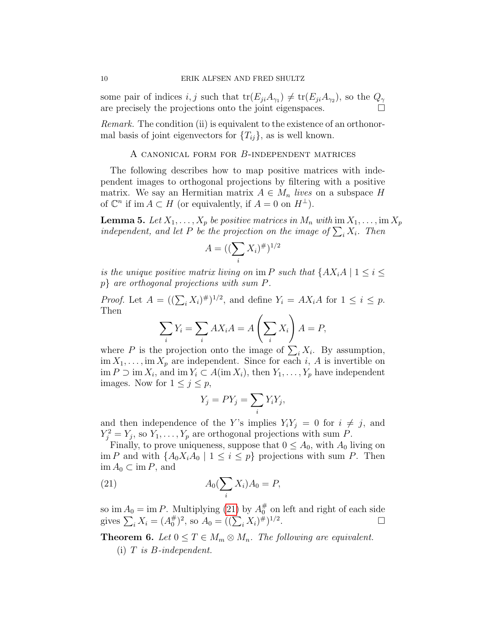some pair of indices  $i, j$  such that  $tr(E_{ji}A_{\gamma_1}) \neq tr(E_{ji}A_{\gamma_2})$ , so the  $Q_{\gamma}$ are precisely the projections onto the joint eigenspaces.

Remark. The condition (ii) is equivalent to the existence of an orthonormal basis of joint eigenvectors for  ${T_{ij}}$ , as is well known.

# A canonical form for B-independent matrices

The following describes how to map positive matrices with independent images to orthogonal projections by filtering with a positive matrix. We say an Hermitian matrix  $A \in M_n$  lives on a subspace H of  $\mathbb{C}^n$  if im  $A \subset H$  (or equivalently, if  $A = 0$  on  $H^{\perp}$ ).

<span id="page-9-2"></span>**Lemma 5.** Let  $X_1, \ldots, X_p$  be positive matrices in  $M_n$  with  $\text{im } X_1, \ldots, \text{im } X_p$ independent, and let P be the projection on the image of  $\sum_i X_i$ . Then

$$
A = ((\sum_{i} X_i)^{\#})^{1/2}
$$

is the unique positive matrix living on im P such that  $\{AX_iA \mid 1 \leq i \leq \}$ p} are orthogonal projections with sum P.

*Proof.* Let  $A = ((\sum_i X_i)^{\#})^{1/2}$ , and define  $Y_i = AX_iA$  for  $1 \leq i \leq p$ . Then

$$
\sum_{i} Y_i = \sum_{i} AX_iA = A\left(\sum_{i} X_i\right)A = P,
$$

where P is the projection onto the image of  $\sum_i X_i$ . By assumption,  $\lim X_1, \ldots, \lim X_p$  are independent. Since for each i, A is invertible on  $\text{im } P \supset \text{im } X_i$ , and  $\text{im } Y_i \subset A(\text{im } X_i)$ , then  $Y_1, \ldots, Y_p$  have independent images. Now for  $1 \leq j \leq p$ ,

<span id="page-9-1"></span>
$$
Y_j = PY_j = \sum_i Y_i Y_j,
$$

and then independence of the Y's implies  $Y_i Y_j = 0$  for  $i \neq j$ , and  $Y_j^2 = Y_j$ , so  $Y_1, \ldots, Y_p$  are orthogonal projections with sum P.

Finally, to prove uniqueness, suppose that  $0 \leq A_0$ , with  $A_0$  living on im P and with  $\{A_0X_iA_0 \mid 1 \leq i \leq p\}$  projections with sum P. Then  $\text{im } A_0 \subset \text{im } P$ , and

$$
(21) \t A_0(\sum_i X_i)A_0 = P,
$$

so im  $A_0 = \text{im } P$ . Multiplying [\(21\)](#page-9-1) by  $A_0^{\#}$  $_{0}^{\#}$  on left and right of each side gives  $\sum_i X_i = (A_0^{\#})$  $\binom{\#}{0}^2$ , so  $A_0 = ((\sum_i X_i)^{\#})^{1/2}$ .

<span id="page-9-0"></span>**Theorem 6.** Let  $0 \leq T \in M_m \otimes M_n$ . The following are equivalent.

 $(i)$  T is B-independent.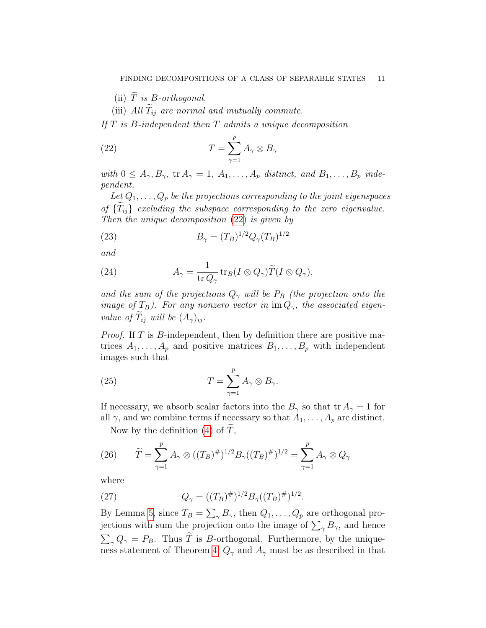(ii)  $\tilde{T}$  is B-orthogonal.

<span id="page-10-0"></span>(iii) All  $\widetilde{T}_{ij}$  are normal and mutually commute.

If  $T$  is  $B$ -independent then  $T$  admits a unique decomposition

(22) 
$$
T = \sum_{\gamma=1}^{p} A_{\gamma} \otimes B_{\gamma}
$$

with  $0 \leq A_{\gamma}, B_{\gamma}$ ,  $\text{tr } A_{\gamma} = 1, A_1, \ldots, A_p$  distinct, and  $B_1, \ldots, B_p$  independent.

Let  $Q_1, \ldots, Q_p$  be the projections corresponding to the joint eigenspaces of  ${T_{ij}}$  excluding the subspace corresponding to the zero eigenvalue. Then the unique decomposition [\(22\)](#page-10-0) is given by

<span id="page-10-2"></span>(23) 
$$
B_{\gamma} = (T_B)^{1/2} Q_{\gamma} (T_B)^{1/2}
$$

and

<span id="page-10-3"></span>(24) 
$$
A_{\gamma} = \frac{1}{\text{tr }Q_{\gamma}} \text{tr}_{B}(I \otimes Q_{\gamma}) \widetilde{T}(I \otimes Q_{\gamma}),
$$

and the sum of the projections  $Q_{\gamma}$  will be  $P_B$  (the projection onto the image of  $T_B$ ). For any nonzero vector in im  $Q_{\gamma}$ , the associated eigenvalue of  $T_{ij}$  will be  $(A_{\gamma})_{ij}$ .

*Proof.* If  $T$  is  $B$ -independent, then by definition there are positive matrices  $A_1, \ldots, A_p$  and positive matrices  $B_1, \ldots, B_p$  with independent images such that

(25) 
$$
T = \sum_{\gamma=1}^{p} A_{\gamma} \otimes B_{\gamma}.
$$

If necessary, we absorb scalar factors into the  $B_{\gamma}$  so that tr  $A_{\gamma} = 1$  for all  $\gamma$ , and we combine terms if necessary so that  $A_1, \ldots, A_p$  are distinct.

<span id="page-10-4"></span>Now by the definition  $(4)$  of T,

(26) 
$$
\widetilde{T} = \sum_{\gamma=1}^{p} A_{\gamma} \otimes ((T_B)^{\#})^{1/2} B_{\gamma}((T_B)^{\#})^{1/2} = \sum_{\gamma=1}^{p} A_{\gamma} \otimes Q_{\gamma}
$$

where

<span id="page-10-1"></span>(27) 
$$
Q_{\gamma} = ((T_B)^{\#})^{1/2} B_{\gamma} ((T_B)^{\#})^{1/2}.
$$

By Lemma [5,](#page-9-2) since  $T_B = \sum_{\gamma} B_{\gamma}$ , then  $Q_1, \ldots, Q_p$  are orthogonal projections with sum the projection onto the image of  $\sum_{\gamma} B_{\gamma}$ , and hence  $\sum_{\gamma} Q_{\gamma} = P_B$ . Thus T is B-orthogonal. Furthermore, by the unique-ness statement of Theorem [4,](#page-7-0)  $Q_{\gamma}$  and  $A_{\gamma}$  must be as described in that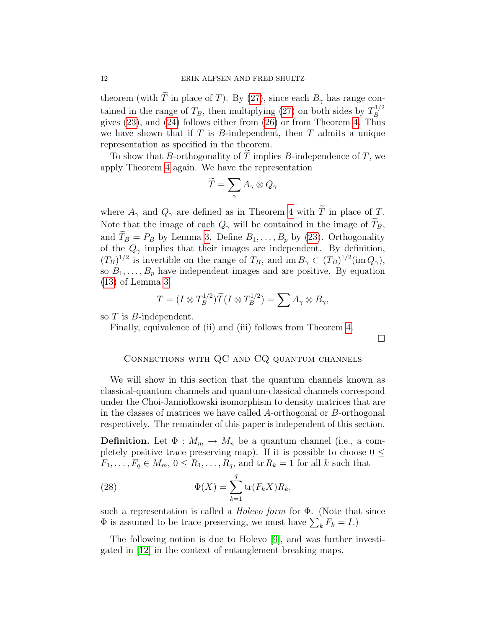theorem (with  $\widetilde{T}$  in place of T). By [\(27\)](#page-10-1), since each  $B_{\gamma}$  has range contained in the range of  $T_B$ , then multiplying [\(27\)](#page-10-1) on both sides by  $T_B^{1/2}$ B gives [\(23\)](#page-10-2), and [\(24\)](#page-10-3) follows either from [\(26\)](#page-10-4) or from Theorem [4.](#page-7-0) Thus we have shown that if  $T$  is  $B$ -independent, then  $T$  admits a unique representation as specified in the theorem.

To show that B-orthogonality of  $\overline{T}$  implies B-independence of  $T$ , we apply Theorem [4](#page-7-0) again. We have the representation

$$
\widetilde{T}=\sum_\gamma A_\gamma\otimes Q_\gamma
$$

where  $A_{\gamma}$  and  $Q_{\gamma}$  are defined as in Theorem [4](#page-7-0) with  $\widetilde{T}$  in place of T. Note that the image of each  $Q_{\gamma}$  will be contained in the image of  $\tilde{T}_B$ , and  $T_B = P_B$  by Lemma [3.](#page-6-4) Define  $B_1, \ldots, B_p$  by [\(23\)](#page-10-2). Orthogonality of the  $Q_{\gamma}$  implies that their images are independent. By definition,  $(T_B)^{1/2}$  is invertible on the range of  $T_B$ , and im  $B_\gamma \subset (T_B)^{1/2}$  (im  $Q_\gamma$ ), so  $B_1, \ldots, B_p$  have independent images and are positive. By equation [\(13\)](#page-6-2) of Lemma [3,](#page-6-4)

$$
T = (I \otimes T_B^{1/2}) \widetilde{T} (I \otimes T_B^{1/2}) = \sum A_{\gamma} \otimes B_{\gamma},
$$

so T is B-independent.

Finally, equivalence of (ii) and (iii) follows from Theorem [4.](#page-7-0)

 $\Box$ 

# Connections with QC and CQ quantum channels

We will show in this section that the quantum channels known as classical-quantum channels and quantum-classical channels correspond under the Choi-Jamio kowski isomorphism to density matrices that are in the classes of matrices we have called A-orthogonal or B-orthogonal respectively. The remainder of this paper is independent of this section.

**Definition.** Let  $\Phi : M_m \to M_n$  be a quantum channel (i.e., a completely positive trace preserving map). If it is possible to choose  $0 \leq$  $F_1, \ldots, F_q \in M_m$ ,  $0 \le R_1, \ldots, R_q$ , and  $\text{tr } R_k = 1$  for all k such that

<span id="page-11-0"></span>(28) 
$$
\Phi(X) = \sum_{k=1}^{q} tr(F_k X) R_k,
$$

such a representation is called a *Holevo form* for  $\Phi$ . (Note that since  $\Phi$  is assumed to be trace preserving, we must have  $\sum_k F_k = I$ .)

The following notion is due to Holevo [\[9\]](#page-22-12), and was further investigated in [\[12\]](#page-22-8) in the context of entanglement breaking maps.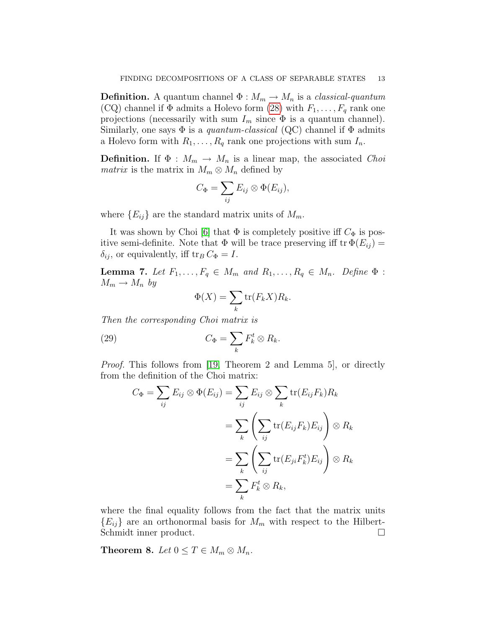**Definition.** A quantum channel  $\Phi : M_m \to M_n$  is a *classical-quantum* (CQ) channel if  $\Phi$  admits a Holevo form [\(28\)](#page-11-0) with  $F_1, \ldots, F_q$  rank one projections (necessarily with sum  $I_m$  since  $\Phi$  is a quantum channel). Similarly, one says  $\Phi$  is a *quantum-classical* (QC) channel if  $\Phi$  admits a Holevo form with  $R_1, \ldots, R_q$  rank one projections with sum  $I_n$ .

**Definition.** If  $\Phi : M_m \to M_n$  is a linear map, the associated *Choi matrix* is the matrix in  $M_m \otimes M_n$  defined by

$$
C_{\Phi} = \sum_{ij} E_{ij} \otimes \Phi(E_{ij}),
$$

where  ${E_{ij}}$  are the standard matrix units of  $M_m$ .

It was shown by Choi [\[6\]](#page-22-10) that  $\Phi$  is completely positive iff  $C_{\Phi}$  is positive semi-definite. Note that  $\Phi$  will be trace preserving iff tr  $\Phi(E_{ij}) =$  $\delta_{ij}$ , or equivalently, iff tr<sub>B</sub>  $C_{\Phi} = I$ .

<span id="page-12-1"></span>**Lemma 7.** Let  $F_1, \ldots, F_q \in M_m$  and  $R_1, \ldots, R_q \in M_n$ . Define  $\Phi$ :  $M_m \to M_n$  by

$$
\Phi(X) = \sum_{k} \text{tr}(F_k X) R_k.
$$

Then the corresponding Choi matrix is

(29) 
$$
C_{\Phi} = \sum_{k} F_{k}^{t} \otimes R_{k}.
$$

Proof. This follows from [\[19,](#page-22-16) Theorem 2 and Lemma 5], or directly from the definition of the Choi matrix:

$$
C_{\Phi} = \sum_{ij} E_{ij} \otimes \Phi(E_{ij}) = \sum_{ij} E_{ij} \otimes \sum_{k} \text{tr}(E_{ij} F_{k}) R_{k}
$$

$$
= \sum_{k} \left( \sum_{ij} \text{tr}(E_{ij} F_{k}) E_{ij} \right) \otimes R_{k}
$$

$$
= \sum_{k} \left( \sum_{ij} \text{tr}(E_{ji} F_{k}^{t}) E_{ij} \right) \otimes R_{k}
$$

$$
= \sum_{k} F_{k}^{t} \otimes R_{k},
$$

where the final equality follows from the fact that the matrix units  ${E_{ij}}$  are an orthonormal basis for  $M_m$  with respect to the Hilbert-Schmidt inner product.

<span id="page-12-0"></span>Theorem 8. Let  $0 \le T \in M_m \otimes M_n$ .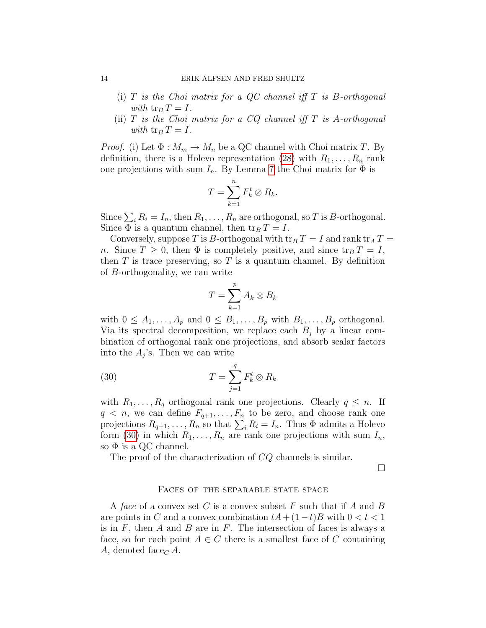#### 14 ERIK ALFSEN AND FRED SHULTZ

- (i)  $T$  is the Choi matrix for a QC channel iff  $T$  is B-orthogonal with  $\operatorname{tr}_B T = I$ .
- (ii)  $T$  is the Choi matrix for a CQ channel iff  $T$  is A-orthogonal with  $\text{tr}_B T = I$ .

*Proof.* (i) Let  $\Phi : M_m \to M_n$  be a QC channel with Choi matrix T. By definition, there is a Holevo representation [\(28\)](#page-11-0) with  $R_1, \ldots, R_n$  rank one projections with sum  $I_n$ . By Lemma [7](#page-12-1) the Choi matrix for  $\Phi$  is

$$
T=\sum_{k=1}^n F_k^t\otimes R_k.
$$

Since  $\sum_i R_i = I_n$ , then  $R_1, \ldots, R_n$  are orthogonal, so T is B-orthogonal. Since  $\Phi$  is a quantum channel, then  $\text{tr}_B T = I$ .

Conversely, suppose T is B-orthogonal with  $\operatorname{tr}_B T = I$  and rank  $\operatorname{tr}_A T =$ n. Since  $T \geq 0$ , then  $\Phi$  is completely positive, and since  ${\rm tr}_B T = I$ , then  $T$  is trace preserving, so  $T$  is a quantum channel. By definition of B-orthogonality, we can write

<span id="page-13-0"></span>
$$
T = \sum_{k=1}^{p} A_k \otimes B_k
$$

with  $0 \leq A_1, \ldots, A_p$  and  $0 \leq B_1, \ldots, B_p$  with  $B_1, \ldots, B_p$  orthogonal. Via its spectral decomposition, we replace each  $B_i$  by a linear combination of orthogonal rank one projections, and absorb scalar factors into the  $A_j$ 's. Then we can write

(30) 
$$
T = \sum_{j=1}^{q} F_k^t \otimes R_k
$$

with  $R_1, \ldots, R_q$  orthogonal rank one projections. Clearly  $q \leq n$ . If  $q \leq n$ , we can define  $F_{q+1}, \ldots, F_n$  to be zero, and choose rank one projections  $R_{q+1}, \ldots, R_n$  so that  $\sum_i R_i = I_n$ . Thus  $\Phi$  admits a Holevo form [\(30\)](#page-13-0) in which  $R_1, \ldots, R_n$  are rank one projections with sum  $I_n$ , so  $\Phi$  is a QC channel.

The proof of the characterization of CQ channels is similar.

 $\Box$ 

#### FACES OF THE SEPARABLE STATE SPACE

A face of a convex set C is a convex subset F such that if A and B are points in C and a convex combination  $tA + (1-t)B$  with  $0 < t < 1$ is in  $F$ , then  $A$  and  $B$  are in  $F$ . The intersection of faces is always a face, so for each point  $A \in \mathbb{C}$  there is a smallest face of  $\mathbb{C}$  containing A, denoted face<sub>C</sub> A.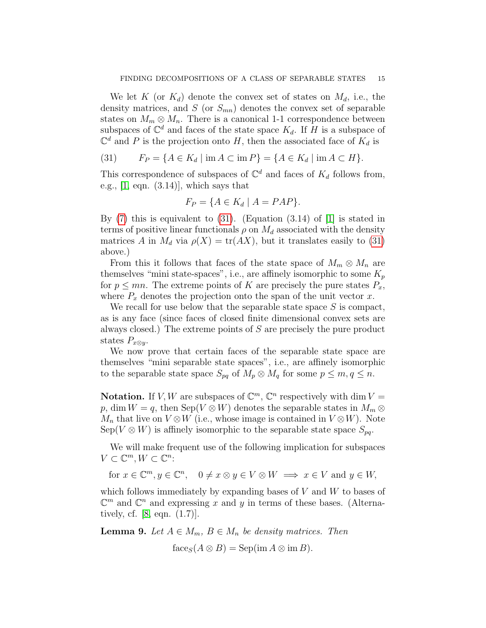We let K (or  $K_d$ ) denote the convex set of states on  $M_d$ , i.e., the density matrices, and  $S$  (or  $S_{mn}$ ) denotes the convex set of separable states on  $M_m \otimes M_n$ . There is a canonical 1-1 correspondence between subspaces of  $\mathbb{C}^d$  and faces of the state space  $K_d$ . If H is a subspace of  $\mathbb{C}^d$  and P is the projection onto H, then the associated face of  $K_d$  is

<span id="page-14-0"></span>(31) 
$$
F_P = \{ A \in K_d \mid \text{im } A \subset \text{im } P \} = \{ A \in K_d \mid \text{im } A \subset H \}.
$$

This correspondence of subspaces of  $\mathbb{C}^d$  and faces of  $K_d$  follows from, e.g.,  $[1, \text{ eqn. } (3.14)]$ , which says that

$$
F_P = \{ A \in K_d \mid A = PAP \}.
$$

By  $(7)$  this is equivalent to  $(31)$ . (Equation  $(3.14)$  of  $[1]$  is stated in terms of positive linear functionals  $\rho$  on  $M_d$  associated with the density matrices A in  $M_d$  via  $\rho(X) = \text{tr}(AX)$ , but it translates easily to [\(31\)](#page-14-0) above.)

From this it follows that faces of the state space of  $M_m \otimes M_n$  are themselves "mini state-spaces", i.e., are affinely isomorphic to some  $K_p$ for  $p \leq mn$ . The extreme points of K are precisely the pure states  $P_x$ , where  $P_x$  denotes the projection onto the span of the unit vector x.

We recall for use below that the separable state space  $S$  is compact, as is any face (since faces of closed finite dimensional convex sets are always closed.) The extreme points of S are precisely the pure product states  $P_{x\otimes y}$ .

We now prove that certain faces of the separable state space are themselves "mini separable state spaces", i.e., are affinely isomorphic to the separable state space  $S_{pq}$  of  $M_p \otimes M_q$  for some  $p \leq m, q \leq n$ .

**Notation.** If V, W are subspaces of  $\mathbb{C}^m$ ,  $\mathbb{C}^n$  respectively with dim  $V =$ p, dim  $W = q$ , then Sep( $V \otimes W$ ) denotes the separable states in  $M_m \otimes$  $M_n$  that live on  $V \otimes W$  (i.e., whose image is contained in  $V \otimes W$ ). Note  $Sep(V \otimes W)$  is affinely isomorphic to the separable state space  $S_{pq}$ .

We will make frequent use of the following implication for subspaces  $V \subset \mathbb{C}^m, W \subset \mathbb{C}^n$ :

for  $x \in \mathbb{C}^m, y \in \mathbb{C}^n$ ,  $0 \neq x \otimes y \in V \otimes W \implies x \in V$  and  $y \in W$ ,

which follows immediately by expanding bases of  $V$  and  $W$  to bases of  $\mathbb{C}^m$  and  $\mathbb{C}^n$  and expressing x and y in terms of these bases. (Alternatively, cf. [\[8,](#page-22-17) eqn. (1.7)].

<span id="page-14-1"></span>**Lemma 9.** Let  $A \in M_m$ ,  $B \in M_n$  be density matrices. Then

 $f_{\text{ace}_S}(A \otimes B) = \text{Sep}(\text{im } A \otimes \text{im } B).$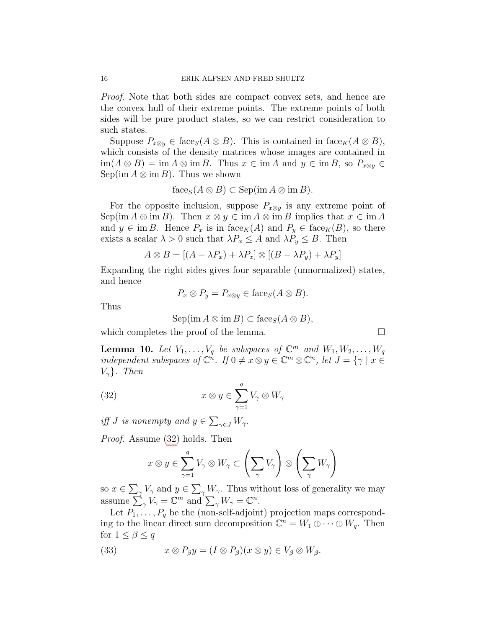Proof. Note that both sides are compact convex sets, and hence are the convex hull of their extreme points. The extreme points of both sides will be pure product states, so we can restrict consideration to such states.

Suppose  $P_{x\otimes y} \in \text{face}_S(A \otimes B)$ . This is contained in  $\text{face}_K(A \otimes B)$ , which consists of the density matrices whose images are contained in  $\lim(A \otimes B) = \lim A \otimes \lim B$ . Thus  $x \in \lim A$  and  $y \in \lim B$ , so  $P_{x \otimes y} \in$ Sep(im  $A \otimes \text{im } B$ ). Thus we shown

$$
face_S(A \otimes B) \subset \mathrm{Sep}(im\,A \otimes im\,B).
$$

For the opposite inclusion, suppose  $P_{x\otimes y}$  is any extreme point of Sep(im  $A \otimes \text{im } B$ ). Then  $x \otimes y \in \text{im } A \otimes \text{im } B$  implies that  $x \in \text{im } A$ and  $y \in \text{im } B$ . Hence  $P_x$  is in face<sub>K</sub>(A) and  $P_y \in \text{face}_K(B)$ , so there exists a scalar  $\lambda > 0$  such that  $\lambda P_x \leq A$  and  $\lambda P_y \leq B$ . Then

$$
A \otimes B = [(A - \lambda P_x) + \lambda P_x] \otimes [(B - \lambda P_y) + \lambda P_y]
$$

Expanding the right sides gives four separable (unnormalized) states, and hence

$$
P_x \otimes P_y = P_{x \otimes y} \in \text{face}_S(A \otimes B).
$$

Thus

<span id="page-15-0"></span>
$$
Sep(im A\otimes im B)\subset face_S(A\otimes B),
$$

which completes the proof of the lemma.

<span id="page-15-2"></span>**Lemma 10.** Let  $V_1, \ldots, V_q$  be subspaces of  $\mathbb{C}^m$  and  $W_1, W_2, \ldots, W_q$ independent subspaces of  $\mathbb{C}^n$ . If  $0 \neq x \otimes y \in \mathbb{C}^m \otimes \mathbb{C}^n$ , let  $J = \{ \gamma \mid x \in$  $V_{\gamma}$ . Then

(32) 
$$
x \otimes y \in \sum_{\gamma=1}^{q} V_{\gamma} \otimes W_{\gamma}
$$

iff *J* is nonempty and  $y \in \sum_{\gamma \in J} W_{\gamma}$ .

Proof. Assume [\(32\)](#page-15-0) holds. Then

$$
x \otimes y \in \sum_{\gamma=1}^{q} V_{\gamma} \otimes W_{\gamma} \subset \left(\sum_{\gamma} V_{\gamma}\right) \otimes \left(\sum_{\gamma} W_{\gamma}\right)
$$

so  $x \in \sum_{\gamma} V_{\gamma}$  and  $y \in \sum_{\gamma} W_{\gamma}$ . Thus without loss of generality we may assume  $\sum_{\gamma} V_{\gamma} = \mathbb{C}^m$  and  $\sum_{\gamma} W_{\gamma} = \mathbb{C}^n$ .

Let  $P_1, \ldots, P_q$  be the (non-self-adjoint) projection maps corresponding to the linear direct sum decomposition  $\mathbb{C}^n = W_1 \oplus \cdots \oplus W_q$ . Then for  $1 \leq \beta \leq q$ 

<span id="page-15-1"></span>(33) 
$$
x \otimes P_{\beta}y = (I \otimes P_{\beta})(x \otimes y) \in V_{\beta} \otimes W_{\beta}.
$$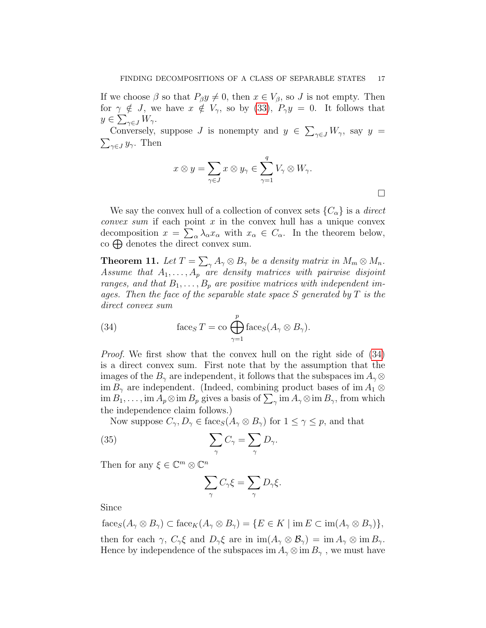If we choose  $\beta$  so that  $P_{\beta}y \neq 0$ , then  $x \in V_{\beta}$ , so J is not empty. Then for  $\gamma \notin J$ , we have  $x \notin V_{\gamma}$ , so by [\(33\)](#page-15-1),  $P_{\gamma}y = 0$ . It follows that  $y \in \sum_{\gamma \in J} W_{\gamma}$ .

Conversely, suppose J is nonempty and  $y \in \sum_{\gamma \in J} W_{\gamma}$ , say  $y =$  $\sum_{\gamma \in J} y_{\gamma}$ . Then

$$
x \otimes y = \sum_{\gamma \in J} x \otimes y_{\gamma} \in \sum_{\gamma=1}^{q} V_{\gamma} \otimes W_{\gamma}.
$$

We say the convex hull of a collection of convex sets  ${C_\alpha}$  is a *direct convex sum* if each point  $x$  in the convex hull has a unique convex decomposition  $x = \sum_{\alpha} \lambda_{\alpha} x_{\alpha}$  with  $x_{\alpha} \in C_{\alpha}$ . In the theorem below,  $\cos \bigoplus$  denotes the direct convex sum.

<span id="page-16-0"></span>**Theorem 11.** Let  $T = \sum_{\gamma} A_{\gamma} \otimes B_{\gamma}$  be a density matrix in  $M_m \otimes M_n$ . Assume that  $A_1, \ldots, A_p$  are density matrices with pairwise disjoint ranges, and that  $B_1, \ldots, B_p$  are positive matrices with independent images. Then the face of the separable state space S generated by  $T$  is the direct convex sum

<span id="page-16-1"></span>(34) 
$$
\operatorname{face}_{S} T = \operatorname{co} \bigoplus_{\gamma=1}^{p} \operatorname{face}_{S}(A_{\gamma} \otimes B_{\gamma}).
$$

Proof. We first show that the convex hull on the right side of [\(34\)](#page-16-1) is a direct convex sum. First note that by the assumption that the images of the  $B_{\gamma}$  are independent, it follows that the subspaces im  $A_{\gamma} \otimes$ im  $B_{\gamma}$  are independent. (Indeed, combining product bases of im  $A_1 \otimes$  $\lim B_1, \ldots, \lim A_p \otimes \lim B_p$  gives a basis of  $\sum_{\gamma} \lim A_{\gamma} \otimes \lim B_{\gamma}$ , from which the independence claim follows.)

Now suppose  $C_{\gamma}, D_{\gamma} \in \text{face}_{S}(A_{\gamma} \otimes B_{\gamma})$  for  $1 \leq \gamma \leq p$ , and that

(35) 
$$
\sum_{\gamma} C_{\gamma} = \sum_{\gamma} D_{\gamma}.
$$

Then for any  $\xi \in \mathbb{C}^m \otimes \mathbb{C}^n$ 

$$
\sum_{\gamma} C_{\gamma} \xi = \sum_{\gamma} D_{\gamma} \xi.
$$

Since

 $f_{\text{ace}_S(A_{\gamma} \otimes B_{\gamma}) \subset \text{face}_K(A_{\gamma} \otimes B_{\gamma}) = \{E \in K \mid \text{im } E \subset \text{im}(A_{\gamma} \otimes B_{\gamma})\},$ then for each  $\gamma$ ,  $C_{\gamma} \xi$  and  $D_{\gamma} \xi$  are in  $\text{im}(A_{\gamma} \otimes B_{\gamma}) = \text{im} A_{\gamma} \otimes \text{im} B_{\gamma}$ . Hence by independence of the subspaces im  $A_{\gamma} \otimes \text{im } B_{\gamma}$ , we must have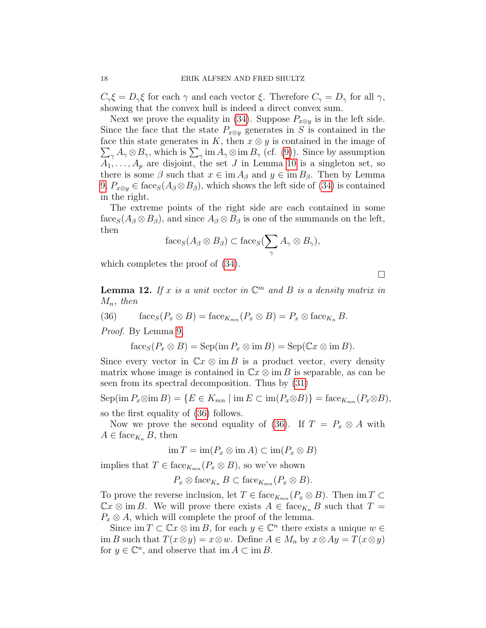$C_{\gamma} \xi = D_{\gamma} \xi$  for each  $\gamma$  and each vector  $\xi$ . Therefore  $C_{\gamma} = D_{\gamma}$  for all  $\gamma$ , showing that the convex hull is indeed a direct convex sum.

Next we prove the equality in [\(34\)](#page-16-1). Suppose  $P_{x\otimes y}$  is in the left side. Since the face that the state  $P_{x\otimes y}$  generates in S is contained in the  $\sum_{\gamma} A_{\gamma} \otimes B_{\gamma}$ , which is  $\sum_{\gamma}$  im  $A_{\gamma} \otimes$  im  $B_{\gamma}$  (cf. [\(9\)](#page-5-1)). Since by assumption face this state generates in K, then  $x \otimes y$  is contained in the image of  $A_1, \ldots, A_p$  are disjoint, the set J in Lemma [10](#page-15-2) is a singleton set, so there is some  $\beta$  such that  $x \in \text{im } A_{\beta}$  and  $y \in \text{im } B_{\beta}$ . Then by Lemma  $9, P_{x\otimes y} \in \text{face}_S(A_\beta \otimes B_\beta)$  $9, P_{x\otimes y} \in \text{face}_S(A_\beta \otimes B_\beta)$ , which shows the left side of [\(34\)](#page-16-1) is contained in the right.

The extreme points of the right side are each contained in some  $f_{\text{ace}_S}(A_{\beta} \otimes B_{\beta})$ , and since  $A_{\beta} \otimes B_{\beta}$  is one of the summands on the left, then

$$
\mathrm{face}_S(A_{\beta} \otimes B_{\beta}) \subset \mathrm{face}_S(\sum_{\gamma} A_{\gamma} \otimes B_{\gamma}),
$$

which completes the proof of [\(34\)](#page-16-1).

 $\Box$ 

<span id="page-17-1"></span>**Lemma 12.** If x is a unit vector in  $\mathbb{C}^m$  and B is a density matrix in  $M_n$ , then

(36) 
$$
\text{face}_S(P_x \otimes B) = \text{face}_{K_{mn}}(P_x \otimes B) = P_x \otimes \text{face}_{K_n} B.
$$

Proof. By Lemma [9,](#page-14-1)

<span id="page-17-0"></span>
$$
\mathrm{face}_S(P_x \otimes B) = \mathrm{Sep}(\mathrm{im}\, P_x \otimes \mathrm{im}\, B) = \mathrm{Sep}(\mathbb{C}x \otimes \mathrm{im}\, B).
$$

Since every vector in  $\mathbb{C}x \otimes \text{im }B$  is a product vector, every density matrix whose image is contained in  $\mathbb{C}x \otimes \text{im }B$  is separable, as can be seen from its spectral decomposition. Thus by [\(31\)](#page-14-0)

 $\text{Sep}(\text{im }P_x\otimes \text{im }B)=\{E\in K_{mn}\mid \text{im }E\subset \text{im}(P_x\otimes B)\}=\text{face}_{K_{mn}}(P_x\otimes B),$ so the first equality of [\(36\)](#page-17-0) follows.

Now we prove the second equality of [\(36\)](#page-17-0). If  $T = P_x \otimes A$  with  $A \in \text{face}_{K_n} B$ , then

$$
\operatorname{im} T = \operatorname{im} (P_x \otimes \operatorname{im} A) \subset \operatorname{im} (P_x \otimes B)
$$

implies that  $T \in \text{face}_{K_{mn}}(P_x \otimes B)$ , so we've shown

$$
P_x \otimes \text{face}_{K_n} B \subset \text{face}_{K_{mn}}(P_x \otimes B).
$$

To prove the reverse inclusion, let  $T \in \text{face}_{K_{mn}}(P_x \otimes B)$ . Then im  $T \subset$  $\mathbb{C}x \otimes \text{im }B$ . We will prove there exists  $A \in \text{face}_{K_n} B$  such that  $T =$  $P_x \otimes A$ , which will complete the proof of the lemma.

Since  $\text{im } T \subset \mathbb{C}x \otimes \text{im } B$ , for each  $y \in \mathbb{C}^n$  there exists a unique  $w \in$ im B such that  $T(x \otimes y) = x \otimes w$ . Define  $A \in M_n$  by  $x \otimes Ay = T(x \otimes y)$ for  $y \in \mathbb{C}^n$ , and observe that im  $A \subset \text{im } B$ .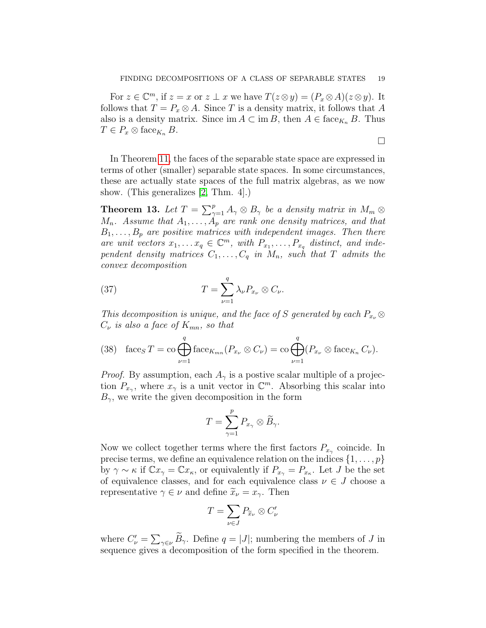$\Box$ 

For  $z \in \mathbb{C}^m$ , if  $z = x$  or  $z \perp x$  we have  $T(z \otimes y) = (P_x \otimes A)(z \otimes y)$ . It follows that  $T = P_x \otimes A$ . Since T is a density matrix, it follows that A also is a density matrix. Since im  $A \subset \text{im } B$ , then  $A \in \text{face}_{K_n} B$ . Thus  $T \in P_x \otimes \text{face}_{K_n} B$ .

In Theorem [11,](#page-16-0) the faces of the separable state space are expressed in terms of other (smaller) separable state spaces. In some circumstances, these are actually state spaces of the full matrix algebras, as we now show. (This generalizes [\[2,](#page-22-2) Thm. 4].)

<span id="page-18-0"></span>**Theorem 13.** Let  $T = \sum_{\gamma=1}^{p} A_{\gamma} \otimes B_{\gamma}$  be a density matrix in  $M_m \otimes$  $M_n$ . Assume that  $A_1, \ldots, A_p$  are rank one density matrices, and that  $B_1, \ldots, B_p$  are positive matrices with independent images. Then there are unit vectors  $x_1, \ldots x_q \in \mathbb{C}^m$ , with  $P_{x_1}, \ldots, P_{x_q}$  distinct, and independent density matrices  $C_1, \ldots, C_q$  in  $M_n$ , such that T admits the convex decomposition

(37) 
$$
T = \sum_{\nu=1}^{q} \lambda_{\nu} P_{x_{\nu}} \otimes C_{\nu}.
$$

This decomposition is unique, and the face of S generated by each  $P_{x_{\nu}} \otimes$  $C_{\nu}$  is also a face of  $K_{mn}$ , so that

(38) 
$$
\operatorname{face}_{S} T = \operatorname{co} \bigoplus_{\nu=1}^{q} \operatorname{face}_{K_{mn}}(P_{x_{\nu}} \otimes C_{\nu}) = \operatorname{co} \bigoplus_{\nu=1}^{q} (P_{x_{\nu}} \otimes \operatorname{face}_{K_n} C_{\nu}).
$$

*Proof.* By assumption, each  $A_{\gamma}$  is a postive scalar multiple of a projection  $P_{x_{\gamma}}$ , where  $x_{\gamma}$  is a unit vector in  $\mathbb{C}^m$ . Absorbing this scalar into  $B_{\gamma}$ , we write the given decomposition in the form

$$
T=\sum_{\gamma=1}^p P_{x_\gamma}\otimes \widetilde{B}_\gamma.
$$

Now we collect together terms where the first factors  $P_{x_{\gamma}}$  coincide. In precise terms, we define an equivalence relation on the indices  $\{1, \ldots, p\}$ by  $\gamma \sim \kappa$  if  $\mathbb{C}x_{\gamma} = \mathbb{C}x_{\kappa}$ , or equivalently if  $P_{x_{\gamma}} = P_{x_{\kappa}}$ . Let J be the set of equivalence classes, and for each equivalence class  $\nu \in J$  choose a representative  $\gamma \in \nu$  and define  $\widetilde{x}_{\nu} = x_{\gamma}$ . Then

$$
T = \sum_{\nu \in J} P_{\widetilde{x}_{\nu}} \otimes C_{\nu}'
$$

where  $C'_{\nu} = \sum_{\gamma \in \nu} \tilde{B}_{\gamma}$ . Define  $q = |J|$ ; numbering the members of J in sequence gives a decomposition of the form specified in the theorem.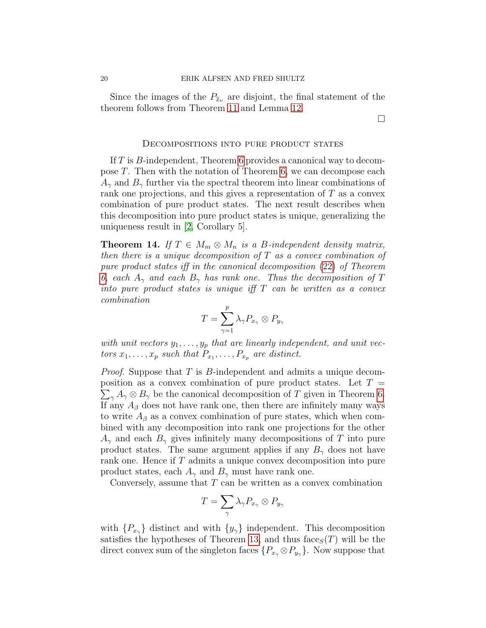Since the images of the  $P_{\tilde{x}_\nu}$  are disjoint, the final statement of the theorem follows from Theorem [11](#page-16-0) and Lemma [12.](#page-17-1)

#### Decompositions into pure product states

If T is B-independent, Theorem [6](#page-9-0) provides a canonical way to decompose T. Then with the notation of Theorem [6,](#page-9-0) we can decompose each  $A_{\gamma}$  and  $B_{\gamma}$  further via the spectral theorem into linear combinations of rank one projections, and this gives a representation of T as a convex combination of pure product states. The next result describes when this decomposition into pure product states is unique, generalizing the uniqueness result in [\[2,](#page-22-2) Corollary 5].

<span id="page-19-0"></span>**Theorem 14.** If  $T \in M_m \otimes M_n$  is a B-independent density matrix, then there is a unique decomposition of  $T$  as a convex combination of pure product states iff in the canonical decomposition [\(22\)](#page-10-0) of Theorem [6,](#page-9-0) each  $A_{\gamma}$  and each  $B_{\gamma}$  has rank one. Thus the decomposition of T into pure product states is unique iff  $T$  can be written as a convex combination

$$
T=\sum_{\gamma=1}^p\lambda_\gamma P_{x_\gamma}\otimes P_{y_\gamma}
$$

with unit vectors  $y_1, \ldots, y_p$  that are linearly independent, and unit vectors  $x_1, \ldots, x_p$  such that  $P_{x_1}, \ldots, P_{x_p}$  are distinct.

*Proof.* Suppose that  $T$  is  $B$ -independent and admits a unique decomposition as a convex combination of pure product states. Let  $T =$  $\sum_{\gamma} A_{\gamma} \otimes B_{\gamma}$  be the canonical decomposition of T given in Theorem [6.](#page-9-0) If any  $A_{\beta}$  does not have rank one, then there are infinitely many ways to write  $A_{\beta}$  as a convex combination of pure states, which when combined with any decomposition into rank one projections for the other  $A_{\gamma}$  and each  $B_{\gamma}$  gives infinitely many decompositions of T into pure product states. The same argument applies if any  $B_{\gamma}$  does not have rank one. Hence if T admits a unique convex decomposition into pure product states, each  $A_{\gamma}$  and  $B_{\gamma}$  must have rank one.

Conversely, assume that  $T$  can be written as a convex combination

$$
T=\sum_{\gamma}\lambda_{\gamma}P_{x_{\gamma}}\otimes P_{y_{\gamma}}
$$

with  $\{P_{x_{\gamma}}\}$  distinct and with  $\{y_{\gamma}\}\$  independent. This decomposition satisfies the hypotheses of Theorem [13,](#page-18-0) and thus face  $S(T)$  will be the direct convex sum of the singleton faces  $\{P_{x_{\gamma}} \otimes P_{y_{\gamma}}\}\.$  Now suppose that

 $\Box$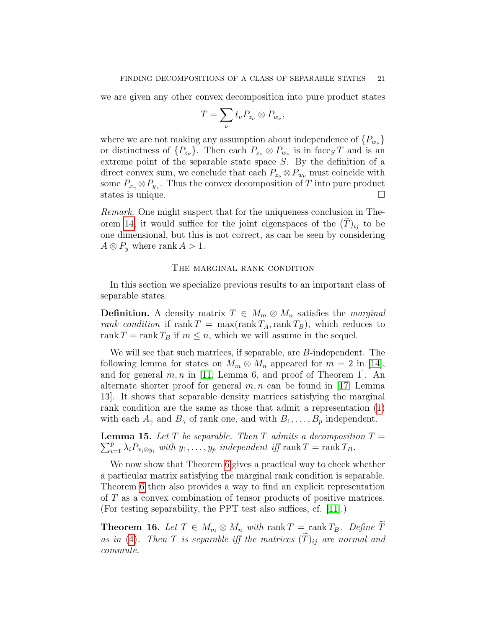we are given any other convex decomposition into pure product states

$$
T=\sum_{\nu}t_{\nu}P_{z_{\nu}}\otimes P_{w_{\nu}},
$$

where we are not making any assumption about independence of  $\{P_{w_{\nu}}\}$ or distinctness of  $\{P_{z_{\nu}}\}$ . Then each  $P_{z_{\nu}} \otimes P_{w_{\nu}}$  is in face<sub>S</sub>T and is an extreme point of the separable state space S. By the definition of a direct convex sum, we conclude that each  $P_{z_{\nu}} \otimes P_{w_{\nu}}$  must coincide with some  $P_{x_{\gamma}} \otimes P_{y_{\gamma}}$ . Thus the convex decomposition of T into pure product states is unique.

Remark. One might suspect that for the uniqueness conclusion in The-orem [14,](#page-19-0) it would suffice for the joint eigenspaces of the  $(T)_{ii}$  to be one dimensional, but this is not correct, as can be seen by considering  $A \otimes P_y$  where rank  $A > 1$ .

#### The marginal rank condition

In this section we specialize previous results to an important class of separable states.

**Definition.** A density matrix  $T \in M_m \otimes M_n$  satisfies the marginal rank condition if rank  $T = \max(\text{rank } T_A, \text{rank } T_B)$ , which reduces to rank  $T = \text{rank } T_B$  if  $m \leq n$ , which we will assume in the sequel.

We will see that such matrices, if separable, are B-independent. The following lemma for states on  $M_m \otimes M_n$  appeared for  $m = 2$  in [\[14\]](#page-22-3), and for general  $m, n$  in [\[11,](#page-22-4) Lemma 6, and proof of Theorem 1]. An alternate shorter proof for general  $m, n$  can be found in [\[17,](#page-22-5) Lemma 13]. It shows that separable density matrices satisfying the marginal rank condition are the same as those that admit a representation [\(1\)](#page-1-0) with each  $A_{\gamma}$  and  $B_{\gamma}$  of rank one, and with  $B_1, \ldots, B_p$  independent.

<span id="page-20-0"></span>**Lemma 15.** Let T be separable. Then T admits a decomposition  $T =$  $\sum_{i=1}^p \lambda_i P_{x_i \otimes y_i}$  with  $y_1, \ldots, y_p$  independent iff rank  $T = \text{rank } T_B$ .

We now show that Theorem [6](#page-9-0) gives a practical way to check whether a particular matrix satisfying the marginal rank condition is separable. Theorem [6](#page-9-0) then also provides a way to find an explicit representation of T as a convex combination of tensor products of positive matrices. (For testing separability, the PPT test also suffices, cf. [\[11\]](#page-22-4).)

**Theorem 16.** Let  $T \in M_m \otimes M_n$  with rank  $T = \text{rank } T_B$ . Define  $\widetilde{T}$ as in [\(4\)](#page-4-1). Then T is separable iff the matrices  $(\widetilde{T})_{ij}$  are normal and commute.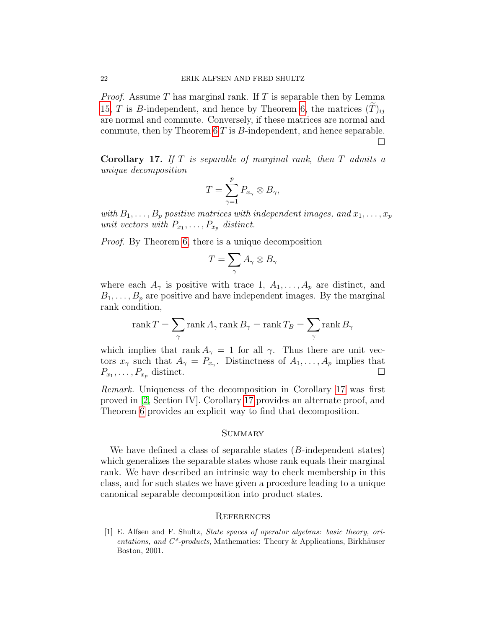*Proof.* Assume T has marginal rank. If T is separable then by Lemma [15,](#page-20-0) T is B-independent, and hence by Theorem [6,](#page-9-0) the matrices  $(T)_{ii}$ are normal and commute. Conversely, if these matrices are normal and commute, then by Theorem [6](#page-9-0) T is B-independent, and hence separable. П

<span id="page-21-1"></span>**Corollary 17.** If  $T$  is separable of marginal rank, then  $T$  admits a unique decomposition

$$
T=\sum_{\gamma=1}^p P_{x_\gamma}\otimes B_{\gamma},
$$

with  $B_1, \ldots, B_p$  positive matrices with independent images, and  $x_1, \ldots, x_p$ unit vectors with  $P_{x_1}, \ldots, P_{x_p}$  distinct.

Proof. By Theorem [6,](#page-9-0) there is a unique decomposition

$$
T = \sum_{\gamma} A_{\gamma} \otimes B_{\gamma}
$$

where each  $A_{\gamma}$  is positive with trace 1,  $A_1, \ldots, A_p$  are distinct, and  $B_1, \ldots, B_p$  are positive and have independent images. By the marginal rank condition,

$$
\operatorname{rank} T = \sum_{\gamma} \operatorname{rank} A_{\gamma} \operatorname{rank} B_{\gamma} = \operatorname{rank} T_B = \sum_{\gamma} \operatorname{rank} B_{\gamma}
$$

which implies that rank  $A_{\gamma} = 1$  for all  $\gamma$ . Thus there are unit vectors  $x_{\gamma}$  such that  $A_{\gamma} = P_{x_{\gamma}}$ . Distinctness of  $A_1, \ldots, A_p$  implies that  $P_{x_1}, \ldots, P_{x_p}$  distinct.

Remark. Uniqueness of the decomposition in Corollary [17](#page-21-1) was first proved in [\[2,](#page-22-2) Section IV]. Corollary [17](#page-21-1) provides an alternate proof, and Theorem [6](#page-9-0) provides an explicit way to find that decomposition.

# **SUMMARY**

We have defined a class of separable states (B-independent states) which generalizes the separable states whose rank equals their marginal rank. We have described an intrinsic way to check membership in this class, and for such states we have given a procedure leading to a unique canonical separable decomposition into product states.

#### **REFERENCES**

<span id="page-21-0"></span>[1] E. Alfsen and F. Shultz, State spaces of operator algebras: basic theory, orientations, and  $C^*$ -products, Mathematics: Theory & Applications, Birkhäuser Boston, 2001.